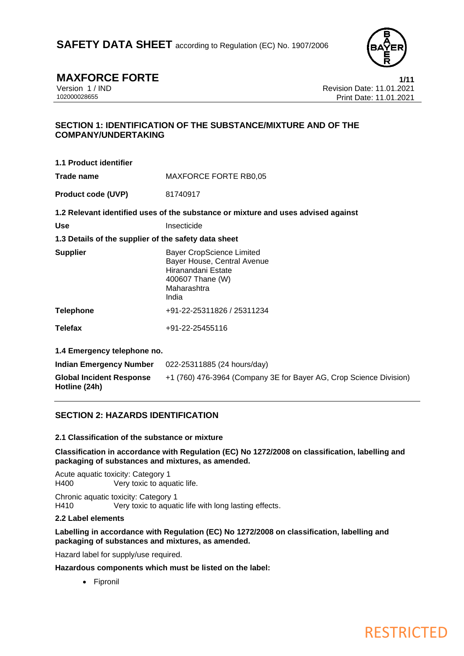

**MAXFORCE FORTE** 1/11<br>Version 1 / IND **PORTE** 2021 Version 1 / IND<br>102000028655<br>Print Date: 11.01.2021 Print Date: 11.01.2021

# **SECTION 1: IDENTIFICATION OF THE SUBSTANCE/MIXTURE AND OF THE COMPANY/UNDERTAKING**

| 1.1 Product identifier                               |                                                                                                                                   |
|------------------------------------------------------|-----------------------------------------------------------------------------------------------------------------------------------|
| Trade name                                           | MAXFORCE FORTE RB0,05                                                                                                             |
| <b>Product code (UVP)</b>                            | 81740917                                                                                                                          |
|                                                      | 1.2 Relevant identified uses of the substance or mixture and uses advised against                                                 |
| <b>Use</b>                                           | Insecticide                                                                                                                       |
| 1.3 Details of the supplier of the safety data sheet |                                                                                                                                   |
| <b>Supplier</b>                                      | <b>Bayer CropScience Limited</b><br>Bayer House, Central Avenue<br>Hiranandani Estate<br>400607 Thane (W)<br>Maharashtra<br>India |
| <b>Telephone</b>                                     | +91-22-25311826 / 25311234                                                                                                        |
| <b>Telefax</b>                                       | +91-22-25455116                                                                                                                   |
| 1.4 Emergency telephone no.                          |                                                                                                                                   |
| <b>Indian Emergency Number</b>                       | 022-25311885 (24 hours/day)                                                                                                       |
| <b>Global Incident Response</b><br>Hotline (24h)     | +1 (760) 476-3964 (Company 3E for Bayer AG, Crop Science Division)                                                                |

# **SECTION 2: HAZARDS IDENTIFICATION**

# **2.1 Classification of the substance or mixture**

**Classification in accordance with Regulation (EC) No 1272/2008 on classification, labelling and packaging of substances and mixtures, as amended.**

Acute aquatic toxicity: Category 1 H400 Very toxic to aquatic life.

Chronic aquatic toxicity: Category 1 H410 Very toxic to aquatic life with long lasting effects.

# **2.2 Label elements**

# **Labelling in accordance with Regulation (EC) No 1272/2008 on classification, labelling and packaging of substances and mixtures, as amended.**

Hazard label for supply/use required.

**Hazardous components which must be listed on the label:**

• Fipronil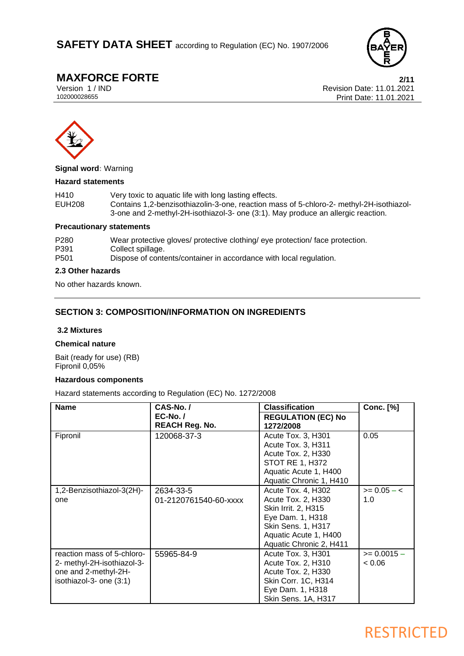

**MAXFORCE FORTE** 2/11<br>
Version 1 / IND 2021 Version 1 / IND<br>102000028655<br>Print Date: 11.01.2021 Print Date: 11.01.2021



**Signal word:** Warning

### **Hazard statements**

| H410          | Very toxic to aquatic life with long lasting effects.                                   |
|---------------|-----------------------------------------------------------------------------------------|
| <b>EUH208</b> | Contains 1,2-benzisothiazolin-3-one, reaction mass of 5-chloro-2- methyl-2H-isothiazol- |
|               | 3-one and 2-methyl-2H-isothiazol-3- one (3:1). May produce an allergic reaction.        |

# **Precautionary statements**

| P <sub>280</sub> | Wear protective gloves/ protective clothing/ eye protection/ face protection. |
|------------------|-------------------------------------------------------------------------------|
| P391             | Collect spillage.                                                             |
| P <sub>501</sub> | Dispose of contents/container in accordance with local regulation.            |

# **2.3 Other hazards**

No other hazards known.

# **SECTION 3: COMPOSITION/INFORMATION ON INGREDIENTS**

## **3.2 Mixtures**

### **Chemical nature**

Bait (ready for use) (RB) Fipronil 0,05%

# **Hazardous components**

Hazard statements according to Regulation (EC) No. 1272/2008

| <b>Name</b>                                                                                                 | CAS-No./                            | <b>Classification</b>                                                                                                                                         | <b>Conc.</b> [%]        |
|-------------------------------------------------------------------------------------------------------------|-------------------------------------|---------------------------------------------------------------------------------------------------------------------------------------------------------------|-------------------------|
|                                                                                                             | $EC-No.$ /<br><b>REACH Reg. No.</b> | <b>REGULATION (EC) No</b><br>1272/2008                                                                                                                        |                         |
| Fipronil                                                                                                    | 120068-37-3                         | Acute Tox. 3, H301<br>Acute Tox. 3, H311<br>Acute Tox. 2, H330<br><b>STOT RE 1, H372</b><br>Aquatic Acute 1, H400<br>Aquatic Chronic 1, H410                  | 0.05                    |
| 1,2-Benzisothiazol-3(2H)-<br>one                                                                            | 2634-33-5<br>01-2120761540-60-xxxx  | Acute Tox. 4, H302<br>Acute Tox. 2, H330<br>Skin Irrit. 2, H315<br>Eye Dam. 1, H318<br>Skin Sens. 1, H317<br>Aquatic Acute 1, H400<br>Aquatic Chronic 2, H411 | $>= 0.05 - c$<br>1.0    |
| reaction mass of 5-chloro-<br>2- methyl-2H-isothiazol-3-<br>one and 2-methyl-2H-<br>isothiazol-3- one (3:1) | 55965-84-9                          | Acute Tox. 3, H301<br>Acute Tox. 2, H310<br>Acute Tox. 2, H330<br>Skin Corr. 1C, H314<br>Eye Dam. 1, H318<br>Skin Sens. 1A, H317                              | $>= 0.0015 -$<br>0.06 < |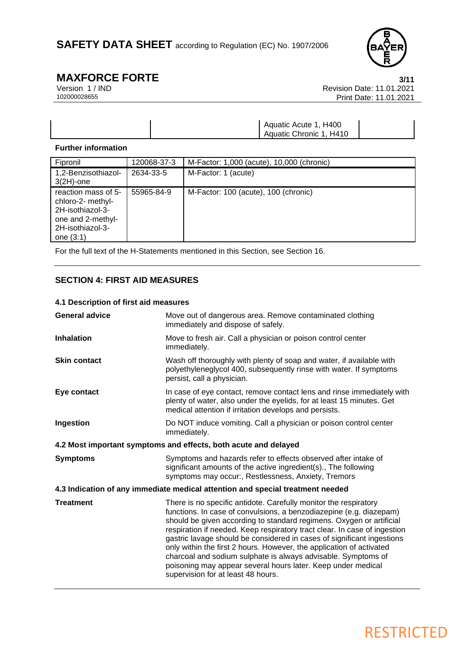

**MAXFORCE FORTE** 3/11<br>Version 1/IND Revision Date: 11.01.2021 Version 1 / IND<br>102000028655<br>Print Date: 11.01.2021 Print Date: 11.01.2021

| Aquatic Acute 1, H400<br>Aquatic Chronic 1, H410 |  |
|--------------------------------------------------|--|
|                                                  |  |

# **Further information**

| Fipronil                                                                                                             | 120068-37-3 | M-Factor: 1,000 (acute), 10,000 (chronic) |
|----------------------------------------------------------------------------------------------------------------------|-------------|-------------------------------------------|
| 1,2-Benzisothiazol-<br>$3(2H)$ -one                                                                                  | 2634-33-5   | M-Factor: 1 (acute)                       |
| reaction mass of 5-<br>chloro-2- methyl-<br>2H-isothiazol-3-<br>one and 2-methyl-<br>2H-isothiazol-3-<br>one $(3:1)$ | 55965-84-9  | M-Factor: 100 (acute), 100 (chronic)      |

For the full text of the H-Statements mentioned in this Section, see Section 16.

# **SECTION 4: FIRST AID MEASURES**

## **4.1 Description of first aid measures**

| <b>General advice</b>                                           | Move out of dangerous area. Remove contaminated clothing<br>immediately and dispose of safely.                                                                                                                                                                                                                                                                                                                                                                                                                                                                                                                        |  |
|-----------------------------------------------------------------|-----------------------------------------------------------------------------------------------------------------------------------------------------------------------------------------------------------------------------------------------------------------------------------------------------------------------------------------------------------------------------------------------------------------------------------------------------------------------------------------------------------------------------------------------------------------------------------------------------------------------|--|
| <b>Inhalation</b>                                               | Move to fresh air. Call a physician or poison control center<br>immediately.                                                                                                                                                                                                                                                                                                                                                                                                                                                                                                                                          |  |
| <b>Skin contact</b>                                             | Wash off thoroughly with plenty of soap and water, if available with<br>polyethyleneglycol 400, subsequently rinse with water. If symptoms<br>persist, call a physician.                                                                                                                                                                                                                                                                                                                                                                                                                                              |  |
| Eye contact                                                     | In case of eye contact, remove contact lens and rinse immediately with<br>plenty of water, also under the eyelids, for at least 15 minutes. Get<br>medical attention if irritation develops and persists.                                                                                                                                                                                                                                                                                                                                                                                                             |  |
| Ingestion                                                       | Do NOT induce vomiting. Call a physician or poison control center<br>immediately.                                                                                                                                                                                                                                                                                                                                                                                                                                                                                                                                     |  |
| 4.2 Most important symptoms and effects, both acute and delayed |                                                                                                                                                                                                                                                                                                                                                                                                                                                                                                                                                                                                                       |  |
| <b>Symptoms</b>                                                 | Symptoms and hazards refer to effects observed after intake of<br>significant amounts of the active ingredient(s)., The following<br>symptoms may occur:, Restlessness, Anxiety, Tremors                                                                                                                                                                                                                                                                                                                                                                                                                              |  |
|                                                                 | 4.3 Indication of any immediate medical attention and special treatment needed                                                                                                                                                                                                                                                                                                                                                                                                                                                                                                                                        |  |
| <b>Treatment</b>                                                | There is no specific antidote. Carefully monitor the respiratory<br>functions. In case of convulsions, a benzodiazepine (e.g. diazepam)<br>should be given according to standard regimens. Oxygen or artificial<br>respiration if needed. Keep respiratory tract clear. In case of ingestion<br>gastric lavage should be considered in cases of significant ingestions<br>only within the first 2 hours. However, the application of activated<br>charcoal and sodium sulphate is always advisable. Symptoms of<br>poisoning may appear several hours later. Keep under medical<br>supervision for at least 48 hours. |  |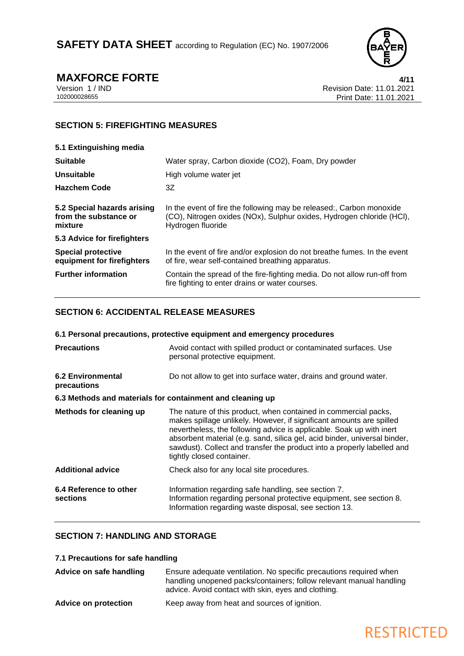

**MAXFORCE FORTE** 4/11<br>Version 1/IND Revision Date: 11.01.2021 Version 1 / IND Revision Date: 11.01.2021 Print Date: 11.01.2021

# **SECTION 5: FIREFIGHTING MEASURES**

| 5.1 Extinguishing media                                         |                                                                                                                                                                    |
|-----------------------------------------------------------------|--------------------------------------------------------------------------------------------------------------------------------------------------------------------|
| <b>Suitable</b>                                                 | Water spray, Carbon dioxide (CO2), Foam, Dry powder                                                                                                                |
| Unsuitable                                                      | High volume water jet                                                                                                                                              |
| <b>Hazchem Code</b>                                             | 3Z                                                                                                                                                                 |
| 5.2 Special hazards arising<br>from the substance or<br>mixture | In the event of fire the following may be released:, Carbon monoxide<br>(CO), Nitrogen oxides (NOx), Sulphur oxides, Hydrogen chloride (HCI),<br>Hydrogen fluoride |
| 5.3 Advice for firefighters                                     |                                                                                                                                                                    |
| <b>Special protective</b><br>equipment for firefighters         | In the event of fire and/or explosion do not breathe fumes. In the event<br>of fire, wear self-contained breathing apparatus.                                      |
| <b>Further information</b>                                      | Contain the spread of the fire-fighting media. Do not allow run-off from<br>fire fighting to enter drains or water courses.                                        |

# **SECTION 6: ACCIDENTAL RELEASE MEASURES**

|                                                           | 6.1 Personal precautions, protective equipment and emergency procedures                                                                                                                                                                                                                                                                                                                              |
|-----------------------------------------------------------|------------------------------------------------------------------------------------------------------------------------------------------------------------------------------------------------------------------------------------------------------------------------------------------------------------------------------------------------------------------------------------------------------|
| <b>Precautions</b>                                        | Avoid contact with spilled product or contaminated surfaces. Use<br>personal protective equipment.                                                                                                                                                                                                                                                                                                   |
| <b>6.2 Environmental</b><br>precautions                   | Do not allow to get into surface water, drains and ground water.                                                                                                                                                                                                                                                                                                                                     |
| 6.3 Methods and materials for containment and cleaning up |                                                                                                                                                                                                                                                                                                                                                                                                      |
| Methods for cleaning up                                   | The nature of this product, when contained in commercial packs,<br>makes spillage unlikely. However, if significant amounts are spilled<br>nevertheless, the following advice is applicable. Soak up with inert<br>absorbent material (e.g. sand, silica gel, acid binder, universal binder,<br>sawdust). Collect and transfer the product into a properly labelled and<br>tightly closed container. |
| <b>Additional advice</b>                                  | Check also for any local site procedures.                                                                                                                                                                                                                                                                                                                                                            |
| 6.4 Reference to other<br>sections                        | Information regarding safe handling, see section 7.<br>Information regarding personal protective equipment, see section 8.<br>Information regarding waste disposal, see section 13.                                                                                                                                                                                                                  |

# **SECTION 7: HANDLING AND STORAGE**

**7.1 Precautions for safe handling**

| Advice on safe handling     | Ensure adequate ventilation. No specific precautions required when<br>handling unopened packs/containers; follow relevant manual handling<br>advice. Avoid contact with skin, eyes and clothing. |
|-----------------------------|--------------------------------------------------------------------------------------------------------------------------------------------------------------------------------------------------|
| <b>Advice on protection</b> | Keep away from heat and sources of ignition.                                                                                                                                                     |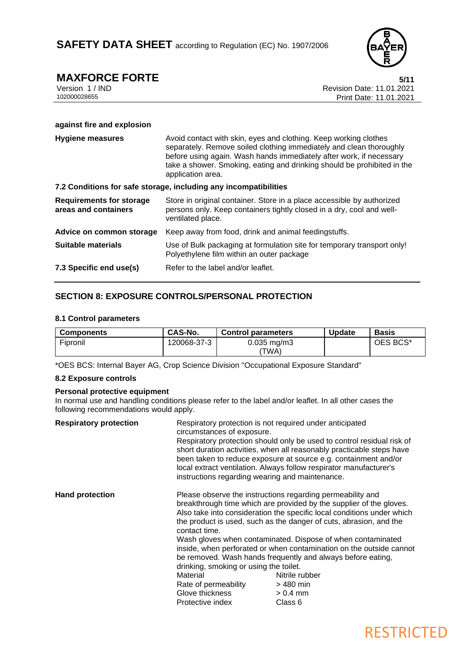

**MAXFORCE FORTE** 5/11<br>Version 1 / IND 8/11 Version 1 / IND Revision Date: 11.01.2021 Print Date: 11.01.2021

### **against fire and explosion**

| <b>Hygiene measures</b>                                 | Avoid contact with skin, eyes and clothing. Keep working clothes<br>separately. Remove soiled clothing immediately and clean thoroughly<br>before using again. Wash hands immediately after work, if necessary<br>take a shower. Smoking, eating and drinking should be prohibited in the<br>application area. |  |
|---------------------------------------------------------|----------------------------------------------------------------------------------------------------------------------------------------------------------------------------------------------------------------------------------------------------------------------------------------------------------------|--|
|                                                         | 7.2 Conditions for safe storage, including any incompatibilities                                                                                                                                                                                                                                               |  |
| <b>Requirements for storage</b><br>areas and containers | Store in original container. Store in a place accessible by authorized<br>persons only. Keep containers tightly closed in a dry, cool and well-<br>ventilated place.                                                                                                                                           |  |
| Advice on common storage                                | Keep away from food, drink and animal feedingstuffs.                                                                                                                                                                                                                                                           |  |
| <b>Suitable materials</b>                               | Use of Bulk packaging at formulation site for temporary transport only!<br>Polyethylene film within an outer package                                                                                                                                                                                           |  |
| 7.3 Specific end use(s)                                 | Refer to the label and/or leaflet.                                                                                                                                                                                                                                                                             |  |

# **SECTION 8: EXPOSURE CONTROLS/PERSONAL PROTECTION**

### **8.1 Control parameters**

| <b>Components</b> | CAS-No.     | <b>Control parameters</b> | <b>Update</b> | <b>Basis</b> |
|-------------------|-------------|---------------------------|---------------|--------------|
| Fipronil          | 120068-37-3 | $0.035$ mg/m $3$<br>'TWA) |               | OES BCS*     |

\*OES BCS: Internal Bayer AG, Crop Science Division "Occupational Exposure Standard"

# **8.2 Exposure controls**

## **Personal protective equipment**

In normal use and handling conditions please refer to the label and/or leaflet. In all other cases the following recommendations would apply.

| <b>Respiratory protection</b> | Respiratory protection is not required under anticipated<br>circumstances of exposure.<br>instructions regarding wearing and maintenance. | Respiratory protection should only be used to control residual risk of<br>short duration activities, when all reasonably practicable steps have<br>been taken to reduce exposure at source e.g. containment and/or<br>local extract ventilation. Always follow respirator manufacturer's                                                                                                                                                                                                                                                        |
|-------------------------------|-------------------------------------------------------------------------------------------------------------------------------------------|-------------------------------------------------------------------------------------------------------------------------------------------------------------------------------------------------------------------------------------------------------------------------------------------------------------------------------------------------------------------------------------------------------------------------------------------------------------------------------------------------------------------------------------------------|
| <b>Hand protection</b>        | contact time.<br>drinking, smoking or using the toilet.<br>Material<br>Rate of permeability<br>Glove thickness<br>Protective index        | Please observe the instructions regarding permeability and<br>breakthrough time which are provided by the supplier of the gloves.<br>Also take into consideration the specific local conditions under which<br>the product is used, such as the danger of cuts, abrasion, and the<br>Wash gloves when contaminated. Dispose of when contaminated<br>inside, when perforated or when contamination on the outside cannot<br>be removed. Wash hands frequently and always before eating,<br>Nitrile rubber<br>$>480$ min<br>$> 0.4$ mm<br>Class 6 |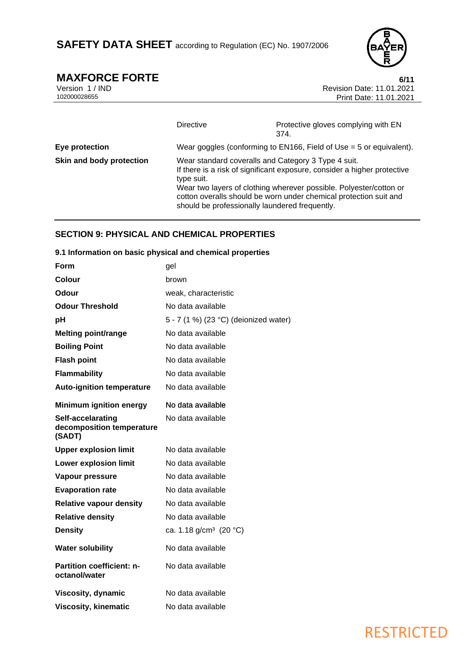

**MAXFORCE FORTE** 6/11<br>Version 1/IND Revision Date: 11.01.2021 Version 1 / IND<br>102000028655<br>Print Date: 11.01.2021 Print Date: 11.01.2021

|                          | Directive                                                                                                           | Protective gloves complying with EN<br>374.                                                                                                                                                                         |
|--------------------------|---------------------------------------------------------------------------------------------------------------------|---------------------------------------------------------------------------------------------------------------------------------------------------------------------------------------------------------------------|
| Eye protection           |                                                                                                                     | Wear goggles (conforming to EN166, Field of Use $=$ 5 or equivalent).                                                                                                                                               |
| Skin and body protection | Wear standard coveralls and Category 3 Type 4 suit.<br>type suit.<br>should be professionally laundered frequently. | If there is a risk of significant exposure, consider a higher protective<br>Wear two layers of clothing wherever possible. Polyester/cotton or<br>cotton overalls should be worn under chemical protection suit and |

# **SECTION 9: PHYSICAL AND CHEMICAL PROPERTIES**

# **9.1 Information on basic physical and chemical properties**

| Form                                                     | gel                                   |
|----------------------------------------------------------|---------------------------------------|
| Colour                                                   | brown                                 |
| Odour                                                    | weak, characteristic                  |
| <b>Odour Threshold</b>                                   | No data available                     |
| рH                                                       | 5 - 7 (1 %) (23 °C) (deionized water) |
| <b>Melting point/range</b>                               | No data available                     |
| <b>Boiling Point</b>                                     | No data available                     |
| <b>Flash point</b>                                       | No data available                     |
| <b>Flammability</b>                                      | No data available                     |
| <b>Auto-ignition temperature</b>                         | No data available                     |
| <b>Minimum ignition energy</b>                           | No data available                     |
| Self-accelarating<br>decomposition temperature<br>(SADT) | No data available                     |
| <b>Upper explosion limit</b>                             | No data available                     |
| <b>Lower explosion limit</b>                             | No data available                     |
| <b>Vapour pressure</b>                                   | No data available                     |
| <b>Evaporation rate</b>                                  | No data available                     |
| <b>Relative vapour density</b>                           | No data available                     |
| <b>Relative density</b>                                  | No data available                     |
| <b>Density</b>                                           | ca. 1.18 g/cm <sup>3</sup> (20 °C)    |
| <b>Water solubility</b>                                  | No data available                     |
| <b>Partition coefficient: n-</b><br>octanol/water        | No data available                     |
| Viscosity, dynamic                                       | No data available                     |
| <b>Viscosity, kinematic</b>                              | No data available                     |
|                                                          |                                       |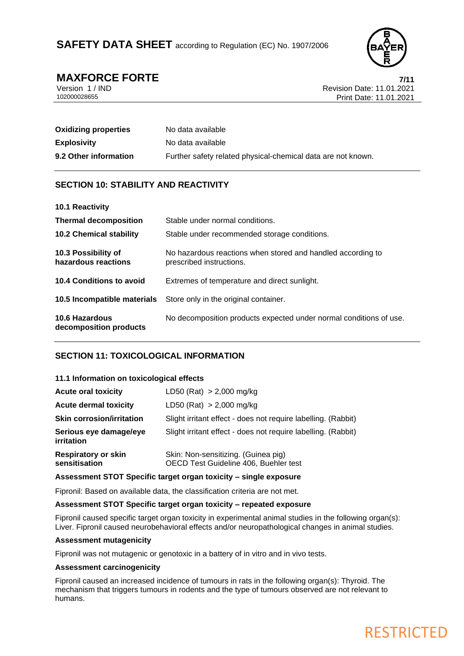# **SAFETY DATA SHEET** according to Regulation (EC) No. 1907/2006



**RESTRICTED** 

**MAXFORCE FORTE**<br>
Version 1/IND<br>
Revision Date: 11.01.2021 Version 1 / IND<br>102000028655<br>Print Date: 11.01.2021 Print Date: 11.01.2021

| <b>Oxidizing properties</b> | No data available                                            |
|-----------------------------|--------------------------------------------------------------|
| <b>Explosivity</b>          | No data available                                            |
| 9.2 Other information       | Further safety related physical-chemical data are not known. |

# **SECTION 10: STABILITY AND REACTIVITY**

| 10.1 Reactivity                            |                                                                                         |
|--------------------------------------------|-----------------------------------------------------------------------------------------|
| <b>Thermal decomposition</b>               | Stable under normal conditions.                                                         |
| <b>10.2 Chemical stability</b>             | Stable under recommended storage conditions.                                            |
| 10.3 Possibility of<br>hazardous reactions | No hazardous reactions when stored and handled according to<br>prescribed instructions. |
| 10.4 Conditions to avoid                   | Extremes of temperature and direct sunlight.                                            |
| 10.5 Incompatible materials                | Store only in the original container.                                                   |
| 10.6 Hazardous<br>decomposition products   | No decomposition products expected under normal conditions of use.                      |

# **SECTION 11: TOXICOLOGICAL INFORMATION**

# **11.1 Information on toxicological effects**

| <b>Acute oral toxicity</b>                  | LD50 (Rat) $> 2,000$ mg/kg                                                   |
|---------------------------------------------|------------------------------------------------------------------------------|
| <b>Acute dermal toxicity</b>                | LD50 (Rat) $> 2,000$ mg/kg                                                   |
| <b>Skin corrosion/irritation</b>            | Slight irritant effect - does not require labelling. (Rabbit)                |
| Serious eye damage/eye<br>irritation        | Slight irritant effect - does not require labelling. (Rabbit)                |
| <b>Respiratory or skin</b><br>sensitisation | Skin: Non-sensitizing. (Guinea pig)<br>OECD Test Guideline 406, Buehler test |

### **Assessment STOT Specific target organ toxicity – single exposure**

Fipronil: Based on available data, the classification criteria are not met.

### **Assessment STOT Specific target organ toxicity – repeated exposure**

Fipronil caused specific target organ toxicity in experimental animal studies in the following organ(s): Liver. Fipronil caused neurobehavioral effects and/or neuropathological changes in animal studies.

### **Assessment mutagenicity**

Fipronil was not mutagenic or genotoxic in a battery of in vitro and in vivo tests.

### **Assessment carcinogenicity**

Fipronil caused an increased incidence of tumours in rats in the following organ(s): Thyroid. The mechanism that triggers tumours in rodents and the type of tumours observed are not relevant to humans.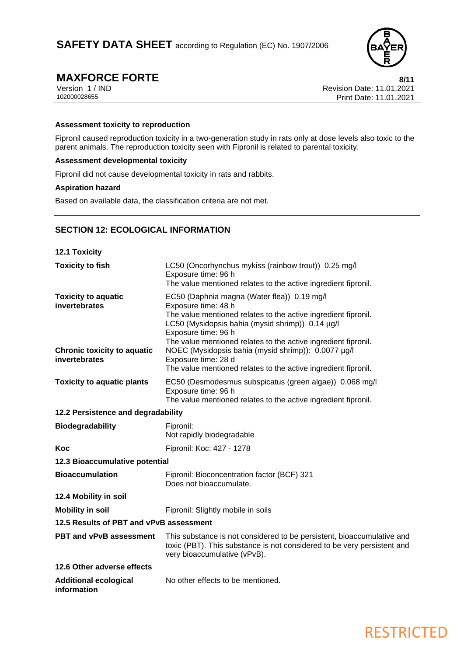

**MAXFORCE FORTE** 8/11<br>Version 1 / IND 8/11 Version 1 / IND<br>102000028655<br>Print Date: 11.01.2021 Print Date: 11.01.2021

# **Assessment toxicity to reproduction**

Fipronil caused reproduction toxicity in a two-generation study in rats only at dose levels also toxic to the parent animals. The reproduction toxicity seen with Fipronil is related to parental toxicity.

# **Assessment developmental toxicity**

Fipronil did not cause developmental toxicity in rats and rabbits.

### **Aspiration hazard**

Based on available data, the classification criteria are not met.

# **SECTION 12: ECOLOGICAL INFORMATION**

| <b>12.1 Toxicity</b>                                |                                                                                                                                                                                                                                                                                   |
|-----------------------------------------------------|-----------------------------------------------------------------------------------------------------------------------------------------------------------------------------------------------------------------------------------------------------------------------------------|
| <b>Toxicity to fish</b>                             | LC50 (Oncorhynchus mykiss (rainbow trout)) 0.25 mg/l<br>Exposure time: 96 h<br>The value mentioned relates to the active ingredient fipronil.                                                                                                                                     |
| <b>Toxicity to aquatic</b><br>invertebrates         | EC50 (Daphnia magna (Water flea)) 0.19 mg/l<br>Exposure time: 48 h<br>The value mentioned relates to the active ingredient fipronil.<br>LC50 (Mysidopsis bahia (mysid shrimp)) 0.14 µg/l<br>Exposure time: 96 h<br>The value mentioned relates to the active ingredient fipronil. |
| <b>Chronic toxicity to aquatic</b><br>invertebrates | NOEC (Mysidopsis bahia (mysid shrimp)): 0.0077 µg/l<br>Exposure time: 28 d<br>The value mentioned relates to the active ingredient fipronil.                                                                                                                                      |
| <b>Toxicity to aquatic plants</b>                   | EC50 (Desmodesmus subspicatus (green algae)) 0.068 mg/l<br>Exposure time: 96 h<br>The value mentioned relates to the active ingredient fipronil.                                                                                                                                  |
| 12.2 Persistence and degradability                  |                                                                                                                                                                                                                                                                                   |
| <b>Biodegradability</b>                             | Fipronil:<br>Not rapidly biodegradable                                                                                                                                                                                                                                            |
| Koc                                                 | Fipronil: Koc: 427 - 1278                                                                                                                                                                                                                                                         |
| 12.3 Bioaccumulative potential                      |                                                                                                                                                                                                                                                                                   |
| <b>Bioaccumulation</b>                              | Fipronil: Bioconcentration factor (BCF) 321<br>Does not bioaccumulate.                                                                                                                                                                                                            |
| 12.4 Mobility in soil                               |                                                                                                                                                                                                                                                                                   |
| <b>Mobility in soil</b>                             | Fipronil: Slightly mobile in soils                                                                                                                                                                                                                                                |
| 12.5 Results of PBT and vPvB assessment             |                                                                                                                                                                                                                                                                                   |
| <b>PBT and vPvB assessment</b>                      | This substance is not considered to be persistent, bioaccumulative and<br>toxic (PBT). This substance is not considered to be very persistent and<br>very bioaccumulative (vPvB).                                                                                                 |
| 12.6 Other adverse effects                          |                                                                                                                                                                                                                                                                                   |
| <b>Additional ecological</b><br>information         | No other effects to be mentioned.                                                                                                                                                                                                                                                 |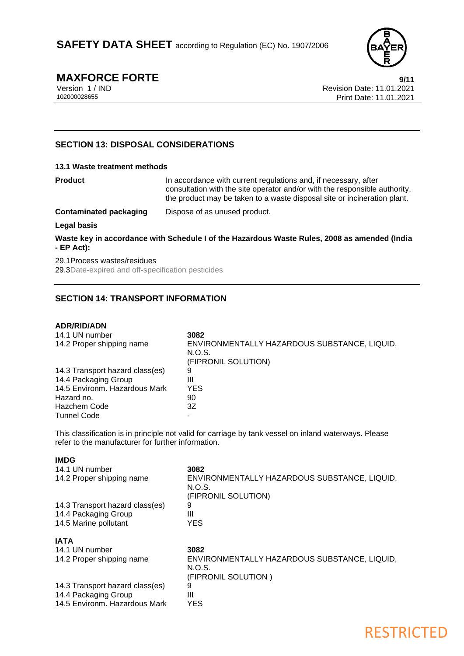

**MAXFORCE FORTE** 9/11<br>Version 1 / IND 9/11<br>Revision Date: 11.01.2021 Version 1 / IND<br>102000028655<br>Print Date: 11.01.2021 Print Date: 11.01.2021

# **SECTION 13: DISPOSAL CONSIDERATIONS**

## **13.1 Waste treatment methods**

| <b>Product</b>                | In accordance with current regulations and, if necessary, after<br>consultation with the site operator and/or with the responsible authority,<br>the product may be taken to a waste disposal site or incineration plant. |
|-------------------------------|---------------------------------------------------------------------------------------------------------------------------------------------------------------------------------------------------------------------------|
| <b>Contaminated packaging</b> | Dispose of as unused product.                                                                                                                                                                                             |
| Legal basis                   |                                                                                                                                                                                                                           |
| $-EP$ Act):                   | Waste key in accordance with Schedule I of the Hazardous Waste Rules, 2008 as amended (India                                                                                                                              |

## 29.1Process wastes/residues

29.3Date-expired and off-specification pesticides

# **SECTION 14: TRANSPORT INFORMATION**

### **ADR/RID/ADN**

| 14.1 UN number<br>14.2 Proper shipping name             | 3082<br>ENVIRONMENTALLY HAZARDOUS SUBSTANCE, LIQUID,<br>N.O.S.<br>(FIPRONIL SOLUTION) |
|---------------------------------------------------------|---------------------------------------------------------------------------------------|
| 14.3 Transport hazard class(es)<br>14.4 Packaging Group | 9<br>Ш                                                                                |
| 14.5 Environm. Hazardous Mark                           | YES.                                                                                  |
| Hazard no.<br><b>Hazchem Code</b>                       | 90<br>3Ζ                                                                              |
| <b>Tunnel Code</b>                                      |                                                                                       |

This classification is in principle not valid for carriage by tank vessel on inland waterways. Please refer to the manufacturer for further information.

# **IMDG**

| 3082                                                                           |
|--------------------------------------------------------------------------------|
| ENVIRONMENTALLY HAZARDOUS SUBSTANCE, LIQUID,<br>N.O.S.<br>(FIPRONIL SOLUTION)  |
|                                                                                |
|                                                                                |
| <b>YES</b>                                                                     |
|                                                                                |
| 3082                                                                           |
| ENVIRONMENTALLY HAZARDOUS SUBSTANCE, LIQUID,<br>N.O.S.<br>(FIPRONIL SOLUTION ) |
| YES                                                                            |
|                                                                                |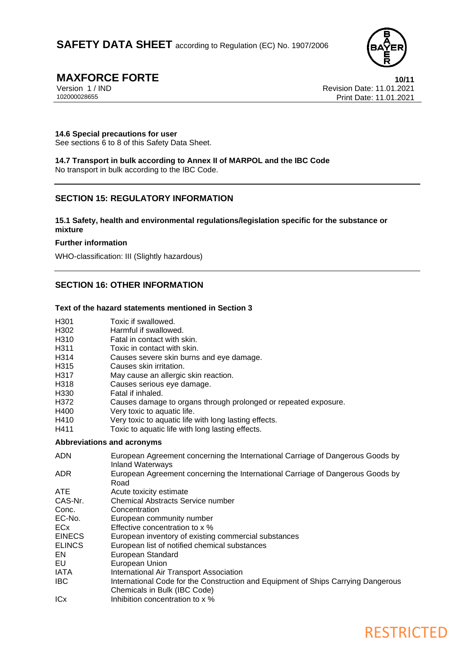

**MAXFORCE FORTE** 10/11<br>
Version 1/IND Revision Date: 11.01.2021 Version 1 / IND Revision Date: 11.01.2021 Print Date: 11.01.2021

### **14.6 Special precautions for user**

See sections 6 to 8 of this Safety Data Sheet.

### **14.7 Transport in bulk according to Annex II of MARPOL and the IBC Code** No transport in bulk according to the IBC Code.

# **SECTION 15: REGULATORY INFORMATION**

### **15.1 Safety, health and environmental regulations/legislation specific for the substance or mixture**

### **Further information**

WHO-classification: III (Slightly hazardous)

# **SECTION 16: OTHER INFORMATION**

### **Text of the hazard statements mentioned in Section 3**

| H301 | Toxic if swallowed. |
|------|---------------------|
|      |                     |

| H302 | Harmful if swallowed. |
|------|-----------------------|
|------|-----------------------|

- H310 Fatal in contact with skin.
- H311 Toxic in contact with skin.<br>H314 Causes severe skin burns
- Causes severe skin burns and eye damage.
- H315 Causes skin irritation.
- H317 May cause an allergic skin reaction.
- H318 Causes serious eye damage.
- H330 Fatal if inhaled.
- H372 Causes damage to organs through prolonged or repeated exposure.
- H400 Very toxic to aquatic life.
- H410 Very toxic to aquatic life with long lasting effects.
- H411 Toxic to aquatic life with long lasting effects.

### **Abbreviations and acronyms**

ADN European Agreement concerning the International Carriage of Dangerous Goods by Inland Waterways ADR European Agreement concerning the International Carriage of Dangerous Goods by Road ATE Acute toxicity estimate CAS-Nr. Chemical Abstracts Service number Conc. Concentration EC-No. European community number ECx Effective concentration to x % EINECS European inventory of existing commercial substances ELINCS European list of notified chemical substances EN European Standard EU European Union IATA International Air Transport Association IBC International Code for the Construction and Equipment of Ships Carrying Dangerous Chemicals in Bulk (IBC Code) ICx Inhibition concentration to x %